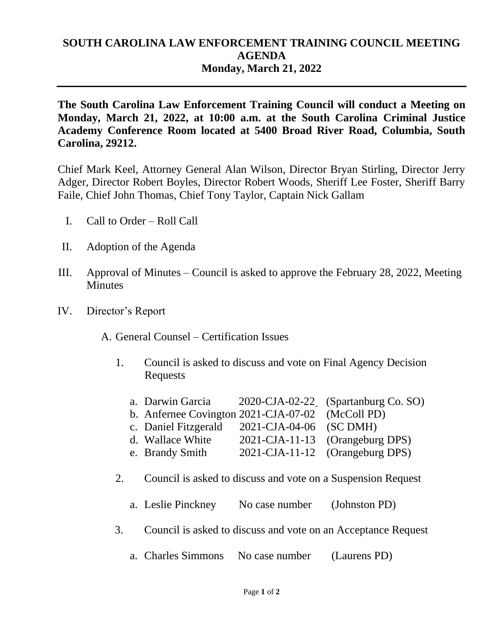## **SOUTH CAROLINA LAW ENFORCEMENT TRAINING COUNCIL MEETING AGENDA Monday, March 21, 2022**

**The South Carolina Law Enforcement Training Council will conduct a Meeting on Monday, March 21, 2022, at 10:00 a.m. at the South Carolina Criminal Justice Academy Conference Room located at 5400 Broad River Road, Columbia, South Carolina, 29212.** 

Chief Mark Keel, Attorney General Alan Wilson, Director Bryan Stirling, Director Jerry Adger, Director Robert Boyles, Director Robert Woods, Sheriff Lee Foster, Sheriff Barry Faile, Chief John Thomas, Chief Tony Taylor, Captain Nick Gallam

- I. Call to Order Roll Call
- II. Adoption of the Agenda
- III. Approval of Minutes Council is asked to approve the February 28, 2022, Meeting **Minutes**
- IV. Director's Report

A. General Counsel – Certification Issues

1. Council is asked to discuss and vote on Final Agency Decision Requests

| a. Darwin Garcia                                 |                         | 2020-CJA-02-22 (Spartanburg Co. SO) |
|--------------------------------------------------|-------------------------|-------------------------------------|
| b. Anfernee Covington 2021-CJA-07-02 (McColl PD) |                         |                                     |
| c. Daniel Fitzgerald                             | 2021-CJA-04-06 (SC DMH) |                                     |
| d. Wallace White                                 |                         | 2021-CJA-11-13 (Orangeburg DPS)     |
| e. Brandy Smith                                  |                         | 2021-CJA-11-12 (Orangeburg DPS)     |

- 2. Council is asked to discuss and vote on a Suspension Request
	- a. Leslie Pinckney No case number (Johnston PD)
- 3. Council is asked to discuss and vote on an Acceptance Request
	- a. Charles Simmons No case number (Laurens PD)